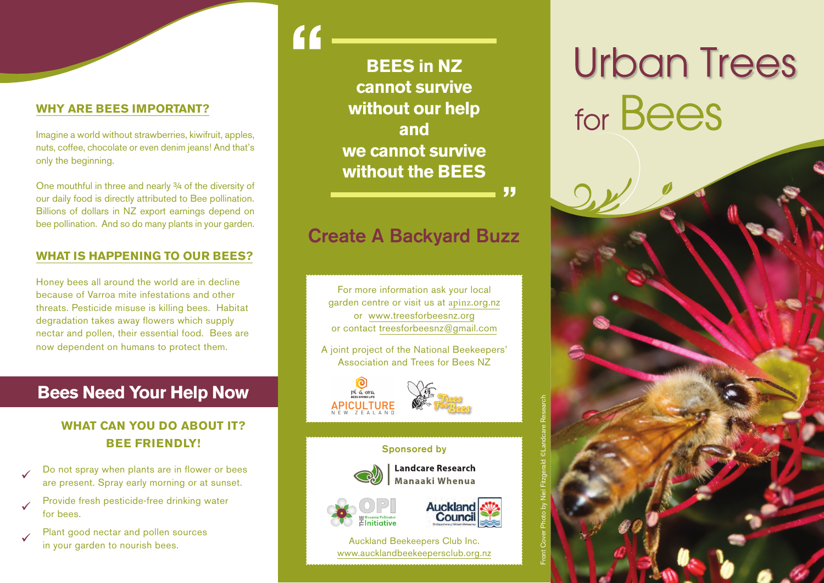## **WHY ARE BEES IMPORTANT?**

Imagine a world without strawberries, kiwifruit, apples, nuts, coffee, chocolate or even denim jeans! And that's only the beginning.

One mouthful in three and nearly 3/4 of the diversity of our daily food is directly attributed to Bee pollination. Billions of dollars in NZ export earnings depend on bee pollination. And so do many plants in your garden.

## **WHAT IS HAPPENING TO OUR BEES?**

Honey bees all around the world are in decline because of Varroa mite infestations and other threats. Pesticide misuse is killing bees. Habitat degradation takes away flowers which supply nectar and pollen, their essential food. Bees are now dependent on humans to protect them.

# **Bees Need Your Help Now**

# **WHAT CAN YOU DO ABOUT IT? BEE FRIENDLY!**

- Do not spray when plants are in flower or bees are present. Spray early morning or at sunset.
- Provide fresh pesticide-free drinking water for bees.
- Plant good nectar and pollen sources in your garden to nourish bees.

# **BEES in NZ cannot survive without our help and we cannot survive without the BEES**

**"**

**"**

# **Create A Backyard Buzz**

For more information ask your local garden centre or visit us at apinz.org.nz or www.treesforbeesnz.orgor contact treesforbeesnz@gmail.com

A joint project of the National Beekeepers' Association and Trees for Bees NZ





Auckland Beekeepers Club Inc. www.aucklandbeekeepersclub.org.nz

# **Urban Trees** for Bees